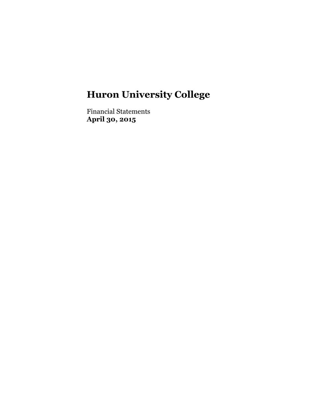Financial Statements **April 30, 2015**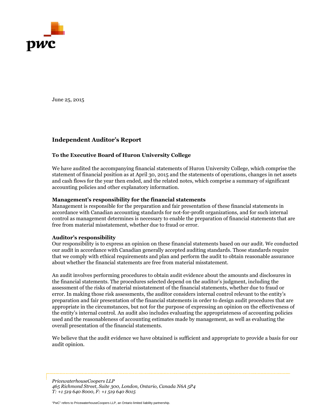

June 25, 2015

#### **Independent Auditor's Report**

#### **To the Executive Board of Huron University College**

We have audited the accompanying financial statements of Huron University College, which comprise the statement of financial position as at April 30, 2015 and the statements of operations, changes in net assets and cash flows for the year then ended, and the related notes, which comprise a summary of significant accounting policies and other explanatory information.

#### **Management's responsibility for the financial statements**

Management is responsible for the preparation and fair presentation of these financial statements in accordance with Canadian accounting standards for not-for-profit organizations, and for such internal control as management determines is necessary to enable the preparation of financial statements that are free from material misstatement, whether due to fraud or error.

#### **Auditor's responsibility**

Our responsibility is to express an opinion on these financial statements based on our audit. We conducted our audit in accordance with Canadian generally accepted auditing standards. Those standards require that we comply with ethical requirements and plan and perform the audit to obtain reasonable assurance about whether the financial statements are free from material misstatement.

An audit involves performing procedures to obtain audit evidence about the amounts and disclosures in the financial statements. The procedures selected depend on the auditor's judgment, including the assessment of the risks of material misstatement of the financial statements, whether due to fraud or error. In making those risk assessments, the auditor considers internal control relevant to the entity's preparation and fair presentation of the financial statements in order to design audit procedures that are appropriate in the circumstances, but not for the purpose of expressing an opinion on the effectiveness of the entity's internal control. An audit also includes evaluating the appropriateness of accounting policies used and the reasonableness of accounting estimates made by management, as well as evaluating the overall presentation of the financial statements.

We believe that the audit evidence we have obtained is sufficient and appropriate to provide a basis for our audit opinion.

"PwC" refers to PricewaterhouseCoopers LLP, an Ontario limited liability partnership. *465 Richmond Street, Suite 300, London, Ontario, Canada N6A 5P4 PricewaterhouseCoopers LLP T: +1 519 640 8000, F: +1 519 640 8015*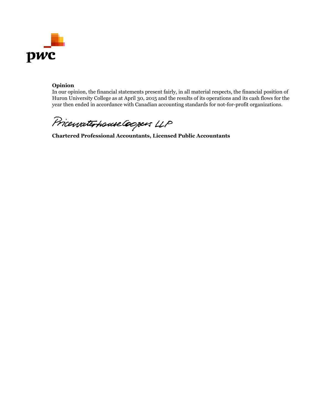

#### **Opinion**

In our opinion, the financial statements present fairly, in all material respects, the financial position of Huron University College as at April 30, 2015 and the results of its operations and its cash flows for the year then ended in accordance with Canadian accounting standards for not-for-profit organizations.

Pricewaterhouse Coopers LLP

**Chartered Professional Accountants, Licensed Public Accountants**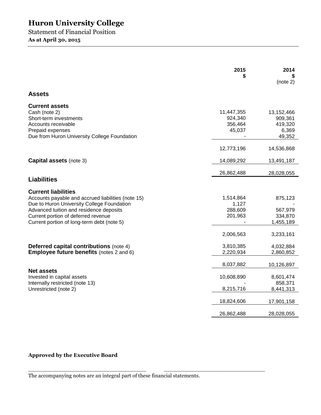Statement of Financial Position **As at April 30, 2015**

|                                                                                                                                                                                                                                                                | 2015<br>S                                  | 2014<br>(note 2)                                    |
|----------------------------------------------------------------------------------------------------------------------------------------------------------------------------------------------------------------------------------------------------------------|--------------------------------------------|-----------------------------------------------------|
| <b>Assets</b>                                                                                                                                                                                                                                                  |                                            |                                                     |
| <b>Current assets</b><br>Cash (note 2)<br>Short-term investments<br>Accounts receivable<br>Prepaid expenses<br>Due from Huron University College Foundation                                                                                                    | 11,447,355<br>924,340<br>356,464<br>45,037 | 13,152,466<br>909,361<br>419,320<br>6,369<br>49,352 |
|                                                                                                                                                                                                                                                                | 12,773,196                                 | 14,536,868                                          |
| <b>Capital assets (note 3)</b>                                                                                                                                                                                                                                 | 14,089,292                                 | 13,491,187                                          |
| <b>Liabilities</b>                                                                                                                                                                                                                                             | 26,862,488                                 | 28,028,055                                          |
| <b>Current liabilities</b><br>Accounts payable and accrued liabilities (note 15)<br>Due to Huron University College Foundation<br>Advanced tuition and residence deposits<br>Current portion of deferred revenue<br>Current portion of long-term debt (note 5) | 1,514,864<br>1,127<br>288,609<br>201,963   | 875,123<br>567,979<br>334,870<br>1,455,189          |
| <b>Deferred capital contributions (note 4)</b><br><b>Employee future benefits (notes 2 and 6)</b>                                                                                                                                                              | 2,006,563<br>3,810,385<br>2,220,934        | 3,233,161<br>4,032,884<br>2,860,852                 |
| <b>Net assets</b>                                                                                                                                                                                                                                              | 8,037,882                                  | 10,126,897                                          |
| Invested in capital assets<br>Internally restricted (note 13)<br>Unrestricted (note 2)                                                                                                                                                                         | 10,608,890<br>8,215,716                    | 8,601,474<br>858,371<br>8,441,313                   |
|                                                                                                                                                                                                                                                                | 18,824,606                                 | 17,901,158                                          |
|                                                                                                                                                                                                                                                                | 26,862,488                                 | 28,028,055                                          |

#### **Approved by the Executive Board**

The accompanying notes are an integral part of these financial statements.

 $\_$  , and the state of the state of the state of the state of the state of the state of the state of the state of the state of the state of the state of the state of the state of the state of the state of the state of the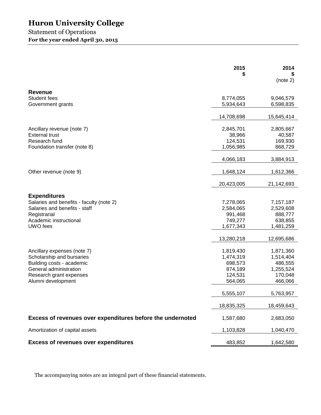#### Statement of Operations **For the year ended April 30, 2015**

|                                                                                                                                                                  | 2015                                                               | 2014<br>(note 2)                                                     |
|------------------------------------------------------------------------------------------------------------------------------------------------------------------|--------------------------------------------------------------------|----------------------------------------------------------------------|
| <b>Revenue</b><br>Student fees<br>Government grants                                                                                                              | 8,774,055<br>5,934,643                                             | 9,046,579<br>6,598,835                                               |
|                                                                                                                                                                  | 14,708,698                                                         | 15,645,414                                                           |
| Ancillary revenue (note 7)<br><b>External trust</b><br>Research fund<br>Foundation transfer (note 8)                                                             | 2,845,701<br>38,966<br>124,531<br>1,056,985                        | 2,805,667<br>40,587<br>169,930<br>868,729                            |
|                                                                                                                                                                  | 4,066,183                                                          | 3,884,913                                                            |
| Other revenue (note 9)                                                                                                                                           | 1,648,124                                                          | 1,612,366                                                            |
|                                                                                                                                                                  | 20,423,005                                                         | 21,142,693                                                           |
| <b>Expenditures</b><br>Salaries and benefits - faculty (note 2)<br>Salaries and benefits - staff<br>Registrarial<br>Academic instructional<br>UWO fees           | 7,278,065<br>2,584,065<br>991,468<br>749,277<br>1,677,343          | 7,157,187<br>2,529,608<br>888,777<br>638,855<br>1,481,259            |
|                                                                                                                                                                  | 13,280,218                                                         | 12,695,686                                                           |
| Ancillary expenses (note 7)<br>Scholarship and bursaries<br>Building costs - academic<br>General administration<br>Research grant expenses<br>Alumni development | 1,819,430<br>1,474,319<br>698,573<br>874,189<br>124,531<br>564,065 | 1,871,360<br>1,514,404<br>486,555<br>1,255,524<br>170,048<br>466,066 |
|                                                                                                                                                                  | 5,555,107                                                          | 5,763,957                                                            |
|                                                                                                                                                                  | 18,835,325                                                         | 18,459,643                                                           |
| Excess of revenues over expenditures before the undernoted                                                                                                       | 1,587,680                                                          | 2,683,050                                                            |
| Amortization of capital assets                                                                                                                                   | 1,103,828                                                          | 1,040,470                                                            |
| <b>Excess of revenues over expenditures</b>                                                                                                                      | 483,852                                                            | 1,642,580                                                            |

The accompanying notes are an integral part of these financial statements.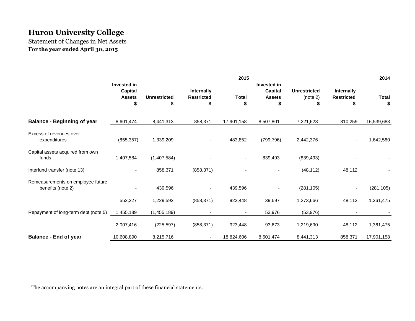Statement of Changes in Net Assets **For the year ended April 30, 2015**

|                                                        |                                                      |                           |                                       | 2015               |                                                |                                 |                                      | 2014               |
|--------------------------------------------------------|------------------------------------------------------|---------------------------|---------------------------------------|--------------------|------------------------------------------------|---------------------------------|--------------------------------------|--------------------|
|                                                        | Invested in<br><b>Capital</b><br><b>Assets</b><br>\$ | <b>Unrestricted</b><br>\$ | Internally<br><b>Restricted</b><br>\$ | <b>Total</b><br>\$ | Invested in<br><b>Capital</b><br><b>Assets</b> | <b>Unrestricted</b><br>(note 2) | Internally<br><b>Restricted</b><br>S | <b>Total</b><br>\$ |
| <b>Balance - Beginning of year</b>                     | 8,601,474                                            | 8,441,313                 | 858,371                               | 17,901,158         | 8,507,801                                      | 7,221,623                       | 810,259                              | 16,539,683         |
| Excess of revenues over<br>expenditures                | (855, 357)                                           | 1,339,209                 |                                       | 483,852            | (799, 796)                                     | 2,442,376                       |                                      | 1,642,580          |
| Capital assets acquired from own<br>funds              | 1,407,584                                            | (1,407,584)               |                                       |                    | 839,493                                        | (839, 493)                      |                                      |                    |
| Interfund transfer (note 13)                           | $\overline{\phantom{a}}$                             | 858,371                   | (858, 371)                            |                    |                                                | (48, 112)                       | 48,112                               |                    |
| Remeasurements on employee future<br>benefits (note 2) |                                                      | 439,596                   | $\blacksquare$                        | 439,596            |                                                | (281, 105)                      |                                      | (281, 105)         |
|                                                        | 552,227                                              | 1,229,592                 | (858, 371)                            | 923,448            | 39,697                                         | 1,273,666                       | 48,112                               | 1,361,475          |
| Repayment of long-term debt (note 5)                   | 1,455,189                                            | (1,455,189)               |                                       |                    | 53,976                                         | (53, 976)                       |                                      |                    |
|                                                        | 2,007,416                                            | (225, 597)                | (858, 371)                            | 923,448            | 93,673                                         | 1,219,690                       | 48,112                               | 1,361,475          |
| <b>Balance - End of year</b>                           | 10,608,890                                           | 8,215,716                 |                                       | 18,824,606         | 8,601,474                                      | 8,441,313                       | 858,371                              | 17,901,158         |

The accompanying notes are an integral part of these financial statements.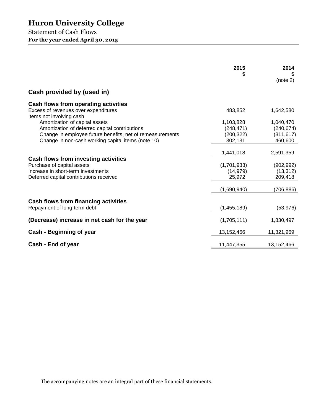Statement of Cash Flows **For the year ended April 30, 2015**

|                                                                  | 2015<br>S     | 2014<br>(note 2) |
|------------------------------------------------------------------|---------------|------------------|
| Cash provided by (used in)                                       |               |                  |
| Cash flows from operating activities                             |               |                  |
| Excess of revenues over expenditures<br>Items not involving cash | 483,852       | 1,642,580        |
| Amortization of capital assets                                   | 1,103,828     | 1,040,470        |
| Amortization of deferred capital contributions                   | (248, 471)    | (240, 674)       |
| Change in employee future benefits, net of remeasurements        | (200, 322)    | (311, 617)       |
| Change in non-cash working capital items (note 10)               | 302,131       | 460,600          |
|                                                                  | 1,441,018     | 2,591,359        |
| <b>Cash flows from investing activities</b>                      |               |                  |
| Purchase of capital assets                                       | (1,701,933)   | (902, 992)       |
| Increase in short-term investments                               | (14, 979)     | (13, 312)        |
| Deferred capital contributions received                          | 25,972        | 209,418          |
|                                                                  | (1,690,940)   | (706, 886)       |
|                                                                  |               |                  |
| Cash flows from financing activities                             |               |                  |
| Repayment of long-term debt                                      | (1, 455, 189) | (53, 976)        |
| (Decrease) increase in net cash for the year                     | (1,705,111)   | 1,830,497        |
| Cash - Beginning of year                                         | 13,152,466    | 11,321,969       |
| Cash - End of year                                               | 11,447,355    | 13,152,466       |

The accompanying notes are an integral part of these financial statements.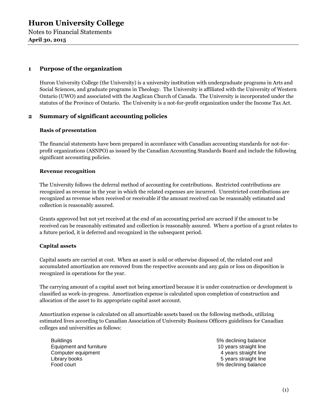Notes to Financial Statements **April 30, 2015**

#### **1 Purpose of the organization**

Huron University College (the University) is a university institution with undergraduate programs in Arts and Social Sciences, and graduate programs in Theology. The University is affiliated with the University of Western Ontario (UWO) and associated with the Anglican Church of Canada. The University is incorporated under the statutes of the Province of Ontario. The University is a not-for-profit organization under the Income Tax Act.

#### **2 Summary of significant accounting policies**

#### **Basis of presentation**

The financial statements have been prepared in accordance with Canadian accounting standards for not-forprofit organizations (ASNPO) as issued by the Canadian Accounting Standards Board and include the following significant accounting policies.

#### **Revenue recognition**

The University follows the deferral method of accounting for contributions. Restricted contributions are recognized as revenue in the year in which the related expenses are incurred. Unrestricted contributions are recognized as revenue when received or receivable if the amount received can be reasonably estimated and collection is reasonably assured.

Grants approved but not yet received at the end of an accounting period are accrued if the amount to be received can be reasonably estimated and collection is reasonably assured. Where a portion of a grant relates to a future period, it is deferred and recognized in the subsequent period.

#### **Capital assets**

Capital assets are carried at cost. When an asset is sold or otherwise disposed of, the related cost and accumulated amortization are removed from the respective accounts and any gain or loss on disposition is recognized in operations for the year.

The carrying amount of a capital asset not being amortized because it is under construction or development is classified as work-in-progress. Amortization expense is calculated upon completion of construction and allocation of the asset to its appropriate capital asset account.

Amortization expense is calculated on all amortizable assets based on the following methods, utilizing estimated lives according to Canadian Association of University Business Officers guidelines for Canadian colleges and universities as follows:

Buildings **5% declining balance** Equipment and furniture 10 years straight line Computer equipment **6** and the computer equipment  $\alpha$  years straight line Library books **5** years straight line Food court **Food court** 6% declining balance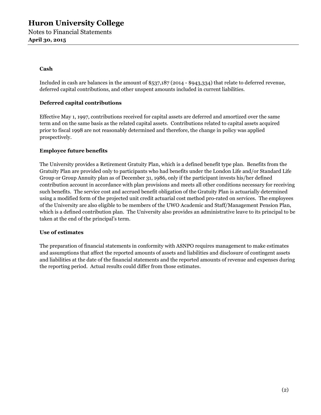#### **Cash**

Included in cash are balances in the amount of \$537,187 (2014 - \$943,334) that relate to deferred revenue, deferred capital contributions, and other unspent amounts included in current liabilities.

#### **Deferred capital contributions**

Effective May 1, 1997, contributions received for capital assets are deferred and amortized over the same term and on the same basis as the related capital assets. Contributions related to capital assets acquired prior to fiscal 1998 are not reasonably determined and therefore, the change in policy was applied prospectively.

#### **Employee future benefits**

The University provides a Retirement Gratuity Plan, which is a defined benefit type plan. Benefits from the Gratuity Plan are provided only to participants who had benefits under the London Life and/or Standard Life Group or Group Annuity plan as of December 31, 1986, only if the participant invests his/her defined contribution account in accordance with plan provisions and meets all other conditions necessary for receiving such benefits. The service cost and accrued benefit obligation of the Gratuity Plan is actuarially determined using a modified form of the projected unit credit actuarial cost method pro-rated on services. The employees of the University are also eligible to be members of the UWO Academic and Staff/Management Pension Plan, which is a defined contribution plan. The University also provides an administrative leave to its principal to be taken at the end of the principal's term.

#### **Use of estimates**

The preparation of financial statements in conformity with ASNPO requires management to make estimates and assumptions that affect the reported amounts of assets and liabilities and disclosure of contingent assets and liabilities at the date of the financial statements and the reported amounts of revenue and expenses during the reporting period. Actual results could differ from those estimates.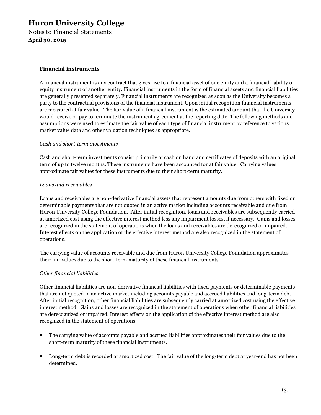Notes to Financial Statements **April 30, 2015**

#### **Financial instruments**

A financial instrument is any contract that gives rise to a financial asset of one entity and a financial liability or equity instrument of another entity. Financial instruments in the form of financial assets and financial liabilities are generally presented separately. Financial instruments are recognized as soon as the University becomes a party to the contractual provisions of the financial instrument. Upon initial recognition financial instruments are measured at fair value. The fair value of a financial instrument is the estimated amount that the University would receive or pay to terminate the instrument agreement at the reporting date. The following methods and assumptions were used to estimate the fair value of each type of financial instrument by reference to various market value data and other valuation techniques as appropriate.

#### *Cash and short-term investments*

Cash and short-term investments consist primarily of cash on hand and certificates of deposits with an original term of up to twelve months. These instruments have been accounted for at fair value. Carrying values approximate fair values for these instruments due to their short-term maturity.

#### *Loans and receivables*

Loans and receivables are non-derivative financial assets that represent amounts due from others with fixed or determinable payments that are not quoted in an active market including accounts receivable and due from Huron University College Foundation. After initial recognition, loans and receivables are subsequently carried at amortized cost using the effective interest method less any impairment losses, if necessary. Gains and losses are recognized in the statement of operations when the loans and receivables are derecognized or impaired. Interest effects on the application of the effective interest method are also recognized in the statement of operations.

The carrying value of accounts receivable and due from Huron University College Foundation approximates their fair values due to the short-term maturity of these financial instruments.

#### *Other financial liabilities*

Other financial liabilities are non-derivative financial liabilities with fixed payments or determinable payments that are not quoted in an active market including accounts payable and accrued liabilities and long-term debt. After initial recognition, other financial liabilities are subsequently carried at amortized cost using the effective interest method. Gains and losses are recognized in the statement of operations when other financial liabilities are derecognized or impaired. Interest effects on the application of the effective interest method are also recognized in the statement of operations.

- The carrying value of accounts payable and accrued liabilities approximates their fair values due to the short-term maturity of these financial instruments.
- Long-term debt is recorded at amortized cost. The fair value of the long-term debt at year-end has not been determined.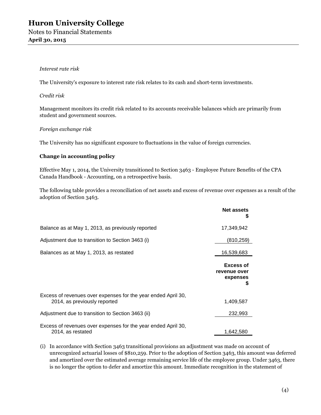#### *Interest rate risk*

The University's exposure to interest rate risk relates to its cash and short-term investments.

*Credit risk*

Management monitors its credit risk related to its accounts receivable balances which are primarily from student and government sources.

*Foreign exchange risk*

The University has no significant exposure to fluctuations in the value of foreign currencies.

#### **Change in accounting policy**

Effective May 1, 2014, the University transitioned to Section 3463 - Employee Future Benefits of the CPA Canada Handbook - Accounting, on a retrospective basis.

The following table provides a reconciliation of net assets and excess of revenue over expenses as a result of the adoption of Section 3463.

|                                                                                               | <b>Net assets</b>                                 |
|-----------------------------------------------------------------------------------------------|---------------------------------------------------|
| Balance as at May 1, 2013, as previously reported                                             | 17,349,942                                        |
| Adjustment due to transition to Section 3463 (i)                                              | (810,259)                                         |
| Balances as at May 1, 2013, as restated                                                       | 16,539,683                                        |
|                                                                                               | <b>Excess of</b><br>revenue over<br>expenses<br>S |
| Excess of revenues over expenses for the year ended April 30,<br>2014, as previously reported | 1,409,587                                         |
| Adjustment due to transition to Section 3463 (ii)                                             | 232,993                                           |
| Excess of revenues over expenses for the year ended April 30,<br>2014, as restated            | 1,642,580                                         |

(i) In accordance with Section 3463 transitional provisions an adjustment was made on account of unrecognized actuarial losses of \$810,259. Prior to the adoption of Section 3463, this amount was deferred and amortized over the estimated average remaining service life of the employee group. Under 3463, there is no longer the option to defer and amortize this amount. Immediate recognition in the statement of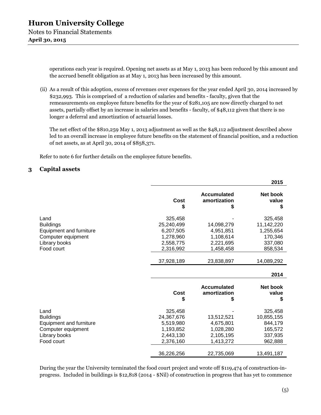operations each year is required. Opening net assets as at May 1, 2013 has been reduced by this amount and the accrued benefit obligation as at May 1, 2013 has been increased by this amount.

(ii) As a result of this adoption, excess of revenues over expenses for the year ended April 30, 2014 increased by \$232,993. This is comprised of a reduction of salaries and benefits - faculty, given that the remeasurements on employee future benefits for the year of \$281,105 are now directly charged to net assets, partially offset by an increase in salaries and benefits - faculty, of \$48,112 given that there is no longer a deferral and amortization of actuarial losses.

The net effect of the \$810,259 May 1, 2013 adjustment as well as the \$48,112 adjustment described above led to an overall increase in employee future benefits on the statement of financial position, and a reduction of net assets, as at April 30, 2014 of \$858,371.

Refer to note 6 for further details on the employee future benefits.

#### **3 Capital assets**

|                                |            |                                          | 2015                           |
|--------------------------------|------------|------------------------------------------|--------------------------------|
|                                | Cost<br>\$ | <b>Accumulated</b><br>amortization<br>\$ | <b>Net book</b><br>value<br>\$ |
| Land                           | 325,458    |                                          | 325,458                        |
| <b>Buildings</b>               | 25,240,499 | 14,098,279                               | 11,142,220                     |
| Equipment and furniture        | 6,207,505  | 4,951,851                                | 1,255,654                      |
| Computer equipment             | 1,278,960  | 1,108,614                                | 170,346                        |
| Library books                  | 2,558,775  | 2,221,695                                | 337,080                        |
| Food court                     | 2,316,992  | 1,458,458                                | 858,534                        |
|                                | 37,928,189 | 23,838,897                               | 14,089,292                     |
|                                |            |                                          | 2014                           |
|                                | Cost<br>\$ | <b>Accumulated</b><br>amortization<br>\$ | <b>Net book</b><br>value<br>\$ |
| Land                           | 325,458    |                                          | 325,458                        |
| <b>Buildings</b>               | 24,367,676 | 13,512,521                               | 10,855,155                     |
| <b>Equipment and furniture</b> | 5,519,980  | 4,675,801                                | 844,179                        |
| Computer equipment             | 1,193,852  | 1,028,280                                | 165,572                        |
| Library books                  | 2,443,130  | 2,105,195                                | 337,935                        |
| Food court                     | 2,376,160  | 1,413,272                                | 962,888                        |
|                                | 36,226,256 | 22,735,069                               | 13,491,187                     |

During the year the University terminated the food court project and wrote off \$119,474 of construction-inprogress. Included in buildings is \$12,818 (2014 - \$Nil) of construction in progress that has yet to commence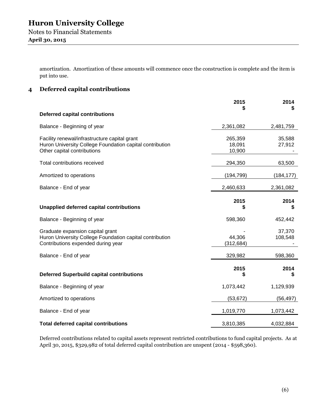amortization. Amortization of these amounts will commence once the construction is complete and the item is put into use.

#### **4 Deferred capital contributions**

|                                                                                                                                          | 2015                        | 2014<br>S         |
|------------------------------------------------------------------------------------------------------------------------------------------|-----------------------------|-------------------|
| <b>Deferred capital contributions</b>                                                                                                    |                             |                   |
| Balance - Beginning of year                                                                                                              | 2,361,082                   | 2,481,759         |
| Facility renewal/infrastructure capital grant<br>Huron University College Foundation capital contribution<br>Other capital contributions | 265,359<br>18,091<br>10,900 | 35,588<br>27,912  |
| Total contributions received                                                                                                             | 294,350                     | 63,500            |
| Amortized to operations                                                                                                                  | (194, 799)                  | (184, 177)        |
| Balance - End of year                                                                                                                    | 2,460,633                   | 2,361,082         |
| Unapplied deferred capital contributions                                                                                                 | 2015<br>S                   | 2014<br>S         |
| Balance - Beginning of year                                                                                                              | 598,360                     | 452,442           |
| Graduate expansion capital grant<br>Huron University College Foundation capital contribution<br>Contributions expended during year       | 44,306<br>(312, 684)        | 37,370<br>108,548 |
| Balance - End of year                                                                                                                    | 329,982                     | 598,360           |
| <b>Deferred Superbuild capital contributions</b>                                                                                         | 2015<br>\$                  | 2014<br>\$        |
| Balance - Beginning of year                                                                                                              | 1,073,442                   | 1,129,939         |
| Amortized to operations                                                                                                                  | (53, 672)                   | (56, 497)         |
| Balance - End of year                                                                                                                    | 1,019,770                   | 1,073,442         |
| <b>Total deferred capital contributions</b>                                                                                              | 3,810,385                   | 4,032,884         |

Deferred contributions related to capital assets represent restricted contributions to fund capital projects. As at April 30, 2015, \$329,982 of total deferred capital contribution are unspent (2014 - \$598,360).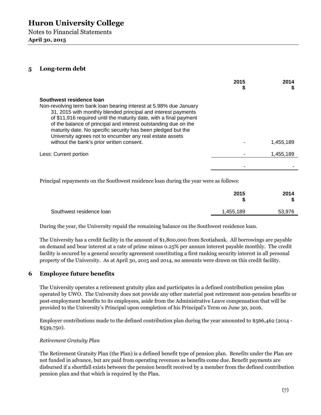Notes to Financial Statements **April 30, 2015**

#### **5 Long-term debt**

|                                                                                                                                                                                                                                                                                                                                                                                                                                                                                   | 2015 | 2014      |
|-----------------------------------------------------------------------------------------------------------------------------------------------------------------------------------------------------------------------------------------------------------------------------------------------------------------------------------------------------------------------------------------------------------------------------------------------------------------------------------|------|-----------|
| Southwest residence loan<br>Non-revolving term bank loan bearing interest at 5.98% due January<br>31, 2015 with monthly blended principal and interest payments<br>of \$11,916 required until the maturity date, with a final payment<br>of the balance of principal and interest outstanding due on the<br>maturity date. No specific security has been pledged but the<br>University agrees not to encumber any real estate assets<br>without the bank's prior written consent. |      | 1,455,189 |
| Less: Current portion                                                                                                                                                                                                                                                                                                                                                                                                                                                             |      | 1,455,189 |
|                                                                                                                                                                                                                                                                                                                                                                                                                                                                                   |      |           |
|                                                                                                                                                                                                                                                                                                                                                                                                                                                                                   |      |           |

Principal repayments on the Southwest residence loan during the year were as follows:

|                          | 2015      | 2014<br>w |
|--------------------------|-----------|-----------|
| Southwest residence loan | 1,455,189 | 53,976    |

During the year, the University repaid the remaining balance on the Southwest residence loan.

The University has a credit facility in the amount of \$1,800,000 from Scotiabank. All borrowings are payable on demand and bear interest at a rate of prime minus 0.25% per annum interest payable monthly. The credit facility is secured by a general security agreement constituting a first ranking security interest in all personal property of the University. As at April 30, 2015 and 2014, no amounts were drawn on this credit facility.

#### **6 Employee future benefits**

The University operates a retirement gratuity plan and participates in a defined contribution pension plan operated by UWO. The University does not provide any other material post retirement non-pension benefits or post-employment benefits to its employees, aside from the Administrative Leave compensation that will be provided to the University's Principal upon completion of his Principal's Term on June 30, 2016.

Employer contributions made to the defined contribution plan during the year amounted to \$566,462 (2014 - \$539,750).

#### *Retirement Gratuity Plan*

The Retirement Gratuity Plan (the Plan) is a defined benefit type of pension plan. Benefits under the Plan are not funded in advance, but are paid from operating revenues as benefits come due. Benefit payments are disbursed if a shortfall exists between the pension benefit received by a member from the defined contribution pension plan and that which is required by the Plan.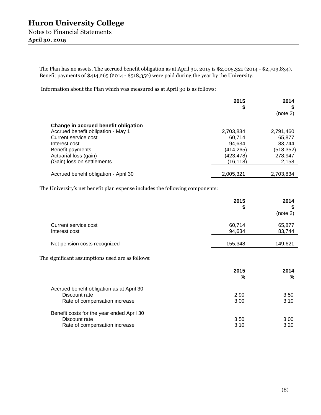Notes to Financial Statements **April 30, 2015**

> The Plan has no assets. The accrued benefit obligation as at April 30, 2015 is \$2,005,321 (2014 - \$2,703,834). Benefit payments of \$414,265 (2014 - \$518,352) were paid during the year by the University.

Information about the Plan which was measured as at April 30 is as follows:

|                                       | 2015<br>\$ | 2014<br>(note 2) |
|---------------------------------------|------------|------------------|
| Change in accrued benefit obligation  |            |                  |
| Accrued benefit obligation - May 1    | 2,703,834  | 2,791,460        |
| Current service cost                  | 60.714     | 65,877           |
| Interest cost                         | 94.634     | 83,744           |
| Benefit payments                      | (414,265)  | (518, 352)       |
| Actuarial loss (gain)                 | (423,478)  | 278,947          |
| (Gain) loss on settlements            | (16,118)   | 2,158            |
| Accrued benefit obligation - April 30 | 2,005,321  | 2,703,834        |

The University's net benefit plan expense includes the following components:

|                                                  | 2015    | 2014     |
|--------------------------------------------------|---------|----------|
|                                                  | S       | S        |
|                                                  |         | (note 2) |
| Current service cost                             | 60,714  | 65,877   |
| Interest cost                                    | 94,634  | 83,744   |
| Net pension costs recognized                     | 155,348 | 149,621  |
|                                                  |         |          |
| The significant assumptions used are as follows: |         |          |
|                                                  | 2015    | 2014     |
|                                                  | %       | %        |
| Accrued benefit obligation as at April 30        |         |          |
| Discount rate                                    | 2.90    | 3.50     |
| Rate of compensation increase                    | 3.00    | 3.10     |
| Benefit costs for the year ended April 30        |         |          |
| Discount rate                                    | 3.50    | 3.00     |
| Rate of compensation increase                    | 3.10    | 3.20     |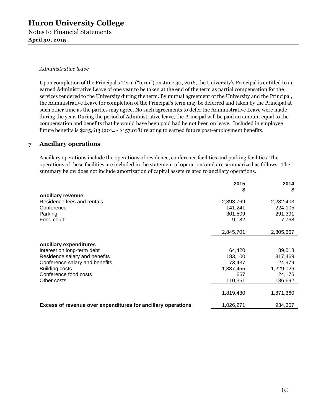Notes to Financial Statements **April 30, 2015**

#### *Administrative leave*

Upon completion of the Principal's Term ("term") on June 30, 2016, the University's Principal is entitled to an earned Administrative Leave of one year to be taken at the end of the term as partial compensation for the services rendered to the University during the term. By mutual agreement of the University and the Principal, the Administrative Leave for completion of the Principal's term may be deferred and taken by the Principal at such other time as the parties may agree. No such agreements to defer the Administrative Leave were made during the year. During the period of Administrative leave, the Principal will be paid an amount equal to the compensation and benefits that he would have been paid had he not been on leave. Included in employee future benefits is \$215,613 (2014 - \$157,018) relating to earned future post-employment benefits.

#### **7 Ancillary operations**

Ancillary operations include the operations of residence, conference facilities and parking facilities. The operations of these facilities are included in the statement of operations and are summarized as follows. The summary below does not include amortization of capital assets related to ancillary operations.

|                                                              | 2015<br>\$ | 2014<br>S |
|--------------------------------------------------------------|------------|-----------|
| <b>Ancillary revenue</b>                                     |            |           |
| Residence fees and rentals                                   | 2,393,769  | 2,282,403 |
| Conference                                                   | 141,241    | 224,105   |
| Parking                                                      | 301,509    | 291,391   |
| Food court                                                   | 9,182      | 7,768     |
|                                                              |            |           |
|                                                              | 2,845,701  | 2,805,667 |
|                                                              |            |           |
| <b>Ancillary expenditures</b>                                |            |           |
| Interest on long-term debt                                   | 64,420     | 89,018    |
| Residence salary and benefits                                | 183,100    | 317,469   |
| Conference salary and benefits                               | 73,437     | 24,979    |
| Building costs                                               | 1,387,455  | 1,229,026 |
| Conference food costs                                        | 667        | 24,176    |
| Other costs                                                  | 110,351    | 186,692   |
|                                                              |            |           |
|                                                              | 1,819,430  | 1,871,360 |
| Excess of revenue over expenditures for ancillary operations | 1,026,271  | 934,307   |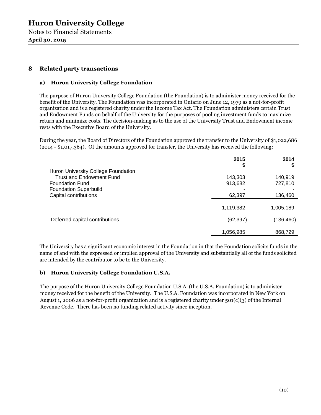Notes to Financial Statements **April 30, 2015**

#### **8 Related party transactions**

#### **a) Huron University College Foundation**

The purpose of Huron University College Foundation (the Foundation) is to administer money received for the benefit of the University. The Foundation was incorporated in Ontario on June 12, 1979 as a not-for-profit organization and is a registered charity under the Income Tax Act. The Foundation administers certain Trust and Endowment Funds on behalf of the University for the purposes of pooling investment funds to maximize return and minimize costs. The decision-making as to the use of the University Trust and Endowment income rests with the Executive Board of the University.

During the year, the Board of Directors of the Foundation approved the transfer to the University of \$1,022,686 (2014 - \$1,017,364). Of the amounts approved for transfer, the University has received the following:

|                                     | 2015<br>\$ | 2014<br>S |
|-------------------------------------|------------|-----------|
| Huron University College Foundation |            |           |
| <b>Trust and Endowment Fund</b>     | 143,303    | 140,919   |
| <b>Foundation Fund</b>              | 913,682    | 727,810   |
| <b>Foundation Superbuild</b>        |            |           |
| Capital contributions               | 62,397     | 136,460   |
|                                     | 1,119,382  | 1,005,189 |
| Deferred capital contributions      | (62, 397)  | (136,460) |
|                                     | 1,056,985  | 868,729   |

The University has a significant economic interest in the Foundation in that the Foundation solicits funds in the name of and with the expressed or implied approval of the University and substantially all of the funds solicited are intended by the contributor to be to the University.

#### **b) Huron University College Foundation U.S.A.**

The purpose of the Huron University College Foundation U.S.A. (the U.S.A. Foundation) is to administer money received for the benefit of the University. The U.S.A. Foundation was incorporated in New York on August 1, 2006 as a not-for-profit organization and is a registered charity under 501(c)(3) of the Internal Revenue Code. There has been no funding related activity since inception.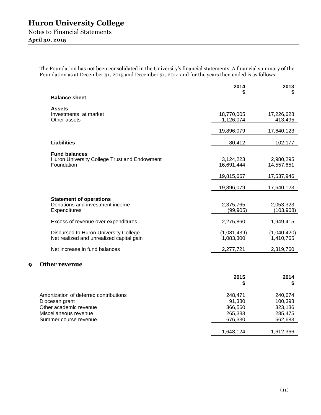**April 30, 2015**

The Foundation has not been consolidated in the University's financial statements. A financial summary of the Foundation as at December 31, 2015 and December 31, 2014 and for the years then ended is as follows:

|                                                                                          | 2014                     | 2013<br>S                |
|------------------------------------------------------------------------------------------|--------------------------|--------------------------|
| <b>Balance sheet</b>                                                                     |                          |                          |
| <b>Assets</b><br>Investments, at market<br>Other assets                                  | 18,770,005<br>1,126,074  | 17,226,628<br>413,495    |
|                                                                                          | 19,896,079               | 17,640,123               |
| <b>Liabilities</b>                                                                       | 80,412                   | 102,177                  |
| <b>Fund balances</b><br>Huron University College Trust and Endowment<br>Foundation       | 3,124,223<br>16,691,444  | 2,980,295<br>14,557,651  |
|                                                                                          | 19,815,667               | 17,537,946               |
|                                                                                          | 19,896,079               | 17,640,123               |
| <b>Statement of operations</b><br>Donations and investment income<br><b>Expenditures</b> | 2,375,765<br>(99, 905)   | 2,053,323<br>(103,908)   |
| Excess of revenue over expenditures                                                      | 2,275,860                | 1,949,415                |
| Disbursed to Huron University College<br>Net realized and unrealized capital gain        | (1,081,439)<br>1,083,300 | (1,040,420)<br>1,410,765 |
| Net increase in fund balances                                                            | 2,277,721                | 2,319,760                |
| <b>Other revenue</b><br>$\mathbf Q$                                                      |                          |                          |
|                                                                                          | 2015<br>\$               | 2014<br>\$               |

| Amortization of deferred contributions | 248.471   | 240.674   |
|----------------------------------------|-----------|-----------|
| Diocesan grant                         | 91.380    | 100.398   |
| Other academic revenue                 | 366,560   | 323,136   |
| Miscellaneous revenue                  | 265,383   | 285.475   |
| Summer course revenue                  | 676.330   | 662,683   |
|                                        | 1,648,124 | 1,612,366 |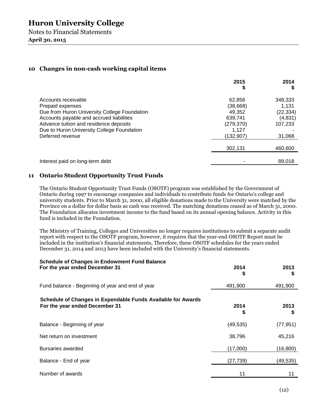Notes to Financial Statements **April 30, 2015**

#### **10 Changes in non-cash working capital items**

|                                                                                    | 2015<br>S             | 2014               |
|------------------------------------------------------------------------------------|-----------------------|--------------------|
| Accounts receivable                                                                | 62,856                | 348,333            |
| Prepaid expenses<br>Due from Huron University College Foundation                   | (38, 668)<br>49.352   | 1.131<br>(22, 334) |
| Accounts payable and accrued liabilities<br>Advance tuition and residence deposits | 639,741<br>(279, 370) | (4,831)<br>107,233 |
| Due to Huron University College Foundation<br>Deferred revenue                     | 1.127<br>(132,907)    | 31,068             |
|                                                                                    | 302,131               | 460,600            |
| Interest paid on long-term debt                                                    |                       | 89,018             |

#### **11 Ontario Student Opportunity Trust Funds**

The Ontario Student Opportunity Trust Funds (OSOTF) program was established by the Government of Ontario during 1997 to encourage companies and individuals to contribute funds for Ontario's college and university students. Prior to March 31, 2000, all eligible donations made to the University were matched by the Province on a dollar for dollar basis as cash was received. The matching donations ceased as of March 31, 2000. The Foundation allocates investment income to the fund based on its annual opening balance. Activity in this fund is included in the Foundation.

The Ministry of Training, Colleges and Universities no longer requires institutions to submit a separate audit report with respect to the OSOTF program, however, it requires that the year-end OSOTF Report must be included in the institution's financial statements, Therefore, these OSOTF schedules for the years ended December 31, 2014 and 2013 have been included with the University's financial statements.

| <b>Schedule of Changes in Endowment Fund Balance</b><br>For the year ended December 31         | 2014<br>\$ | 2013<br>S  |
|------------------------------------------------------------------------------------------------|------------|------------|
| Fund balance - Beginning of year and end of year                                               | 491,900    | 491,900    |
| Schedule of Changes in Expendable Funds Available for Awards<br>For the year ended December 31 | 2014<br>\$ | 2013<br>\$ |
| Balance - Beginning of year                                                                    | (49, 535)  | (77, 951)  |
| Net return on investment                                                                       | 38,796     | 45,216     |
| Bursaries awarded                                                                              | (17,000)   | (16, 800)  |
| Balance - End of year                                                                          | (27, 739)  | (49, 535)  |
| Number of awards                                                                               | 11         | 11         |